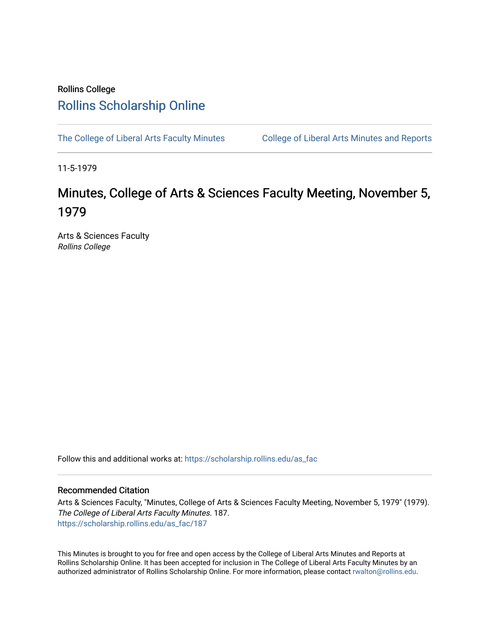## Rollins College [Rollins Scholarship Online](https://scholarship.rollins.edu/)

[The College of Liberal Arts Faculty Minutes](https://scholarship.rollins.edu/as_fac) College of Liberal Arts Minutes and Reports

11-5-1979

# Minutes, College of Arts & Sciences Faculty Meeting, November 5, 1979

Arts & Sciences Faculty Rollins College

Follow this and additional works at: [https://scholarship.rollins.edu/as\\_fac](https://scholarship.rollins.edu/as_fac?utm_source=scholarship.rollins.edu%2Fas_fac%2F187&utm_medium=PDF&utm_campaign=PDFCoverPages) 

### Recommended Citation

Arts & Sciences Faculty, "Minutes, College of Arts & Sciences Faculty Meeting, November 5, 1979" (1979). The College of Liberal Arts Faculty Minutes. 187. [https://scholarship.rollins.edu/as\\_fac/187](https://scholarship.rollins.edu/as_fac/187?utm_source=scholarship.rollins.edu%2Fas_fac%2F187&utm_medium=PDF&utm_campaign=PDFCoverPages) 

This Minutes is brought to you for free and open access by the College of Liberal Arts Minutes and Reports at Rollins Scholarship Online. It has been accepted for inclusion in The College of Liberal Arts Faculty Minutes by an authorized administrator of Rollins Scholarship Online. For more information, please contact [rwalton@rollins.edu](mailto:rwalton@rollins.edu).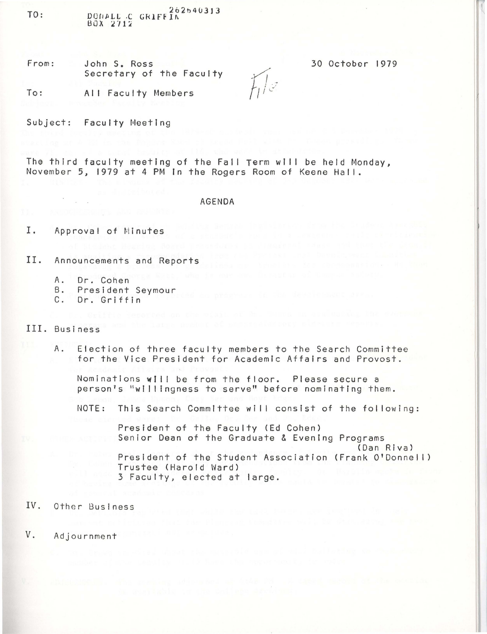TO: DONALL C GRIFF 1A<sup>262540313</sup>  $B_0 X_2 2712$ 

From: John S. Ross Secretary of the Faculty 30 October 1979

To: All Faculty Members

Subject: Faculty Meeting

The third faculty meeting of the Fall Term will be held Monday, November 5, 1979 at 4 PM In the Rogers Room of Keene Hall.

### AGENDA

 $H/\mathbb{Z}$ 

I. Approval of Minutes

II. Announcements and Reports

- A. Dr. Cohen<br>B. President
- B. President Seymour<br>C. Dr. Griffin
- Dr. Griffin

#### III. Business

A. Election of three faculty members to the Search Committee for the Vice President for Academic Affairs and Provost.

Nominations will be from the floor. Please secure a person's "willingness to serve" before nominating them.

NOTE: This Search Committee will consist of the following:

President of the Faculty (Ed Cohen) Senior Dean of the Graduate & Evening Programs (Dan Riva) President of the Student Association (Frank O'Donnell) Trustee (Harold Ward) 3 Faculty, elected at large.

IV. Other Business

V. Adjournment